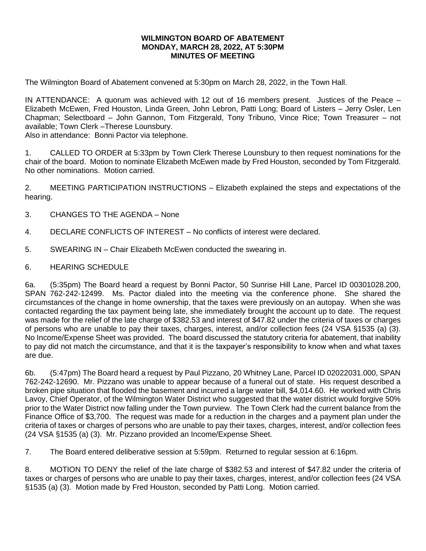## **WILMINGTON BOARD OF ABATEMENT MONDAY, MARCH 28, 2022, AT 5:30PM MINUTES OF MEETING**

The Wilmington Board of Abatement convened at 5:30pm on March 28, 2022, in the Town Hall.

IN ATTENDANCE: A quorum was achieved with 12 out of 16 members present. Justices of the Peace – Elizabeth McEwen, Fred Houston, Linda Green, John Lebron, Patti Long; Board of Listers – Jerry Osler, Len Chapman; Selectboard – John Gannon, Tom Fitzgerald, Tony Tribuno, Vince Rice; Town Treasurer – not available; Town Clerk –Therese Lounsbury.

Also in attendance: Bonni Pactor via telephone.

1. CALLED TO ORDER at 5:33pm by Town Clerk Therese Lounsbury to then request nominations for the chair of the board. Motion to nominate Elizabeth McEwen made by Fred Houston, seconded by Tom Fitzgerald. No other nominations. Motion carried.

2. MEETING PARTICIPATION INSTRUCTIONS – Elizabeth explained the steps and expectations of the hearing.

- 3. CHANGES TO THE AGENDA None
- 4. DECLARE CONFLICTS OF INTEREST No conflicts of interest were declared.
- 5. SWEARING IN Chair Elizabeth McEwen conducted the swearing in.
- 6. HEARING SCHEDULE

6a. (5:35pm) The Board heard a request by Bonni Pactor, 50 Sunrise Hill Lane, Parcel ID 00301028.200, SPAN 762-242-12499. Ms. Pactor dialed into the meeting via the conference phone. She shared the circumstances of the change in home ownership, that the taxes were previously on an autopay. When she was contacted regarding the tax payment being late, she immediately brought the account up to date. The request was made for the relief of the late charge of \$382.53 and interest of \$47.82 under the criteria of taxes or charges of persons who are unable to pay their taxes, charges, interest, and/or collection fees (24 VSA §1535 (a) (3). No Income/Expense Sheet was provided. The board discussed the statutory criteria for abatement, that inability to pay did not match the circumstance, and that it is the taxpayer's responsibility to know when and what taxes are due.

6b. (5:47pm) The Board heard a request by Paul Pizzano, 20 Whitney Lane, Parcel ID 02022031.000, SPAN 762-242-12690. Mr. Pizzano was unable to appear because of a funeral out of state. His request described a broken pipe situation that flooded the basement and incurred a large water bill, \$4,014.60. He worked with Chris Lavoy, Chief Operator, of the Wilmington Water District who suggested that the water district would forgive 50% prior to the Water District now falling under the Town purview. The Town Clerk had the current balance from the Finance Office of \$3,700. The request was made for a reduction in the charges and a payment plan under the criteria of taxes or charges of persons who are unable to pay their taxes, charges, interest, and/or collection fees (24 VSA §1535 (a) (3). Mr. Pizzano provided an Income/Expense Sheet.

7. The Board entered deliberative session at 5:59pm. Returned to regular session at 6:16pm.

8. MOTION TO DENY the relief of the late charge of \$382.53 and interest of \$47.82 under the criteria of taxes or charges of persons who are unable to pay their taxes, charges, interest, and/or collection fees (24 VSA §1535 (a) (3). Motion made by Fred Houston, seconded by Patti Long. Motion carried.